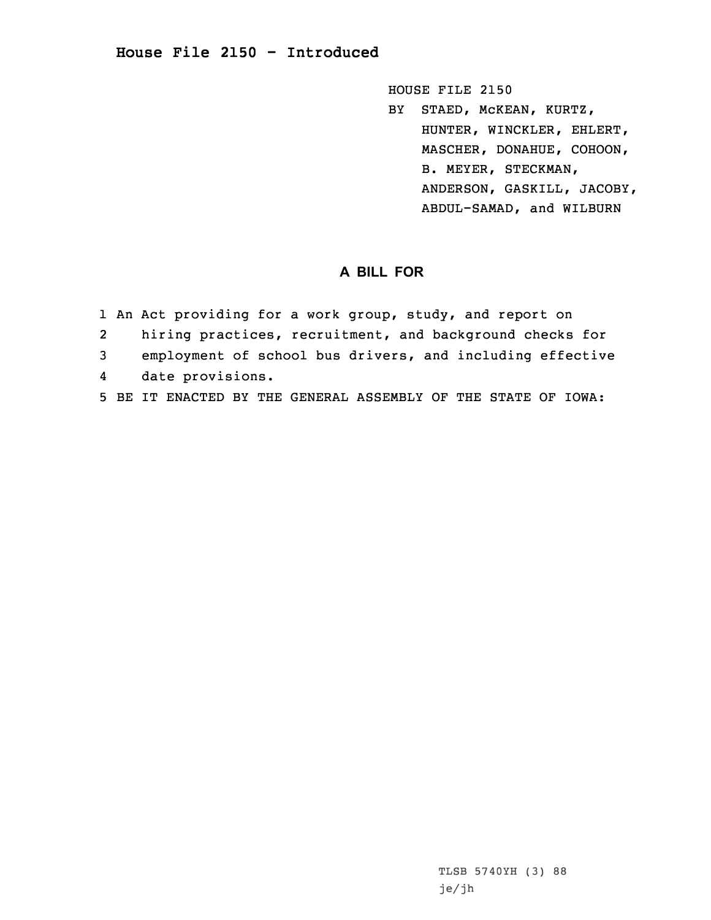## **House File 2150 - Introduced**

HOUSE FILE 2150 BY STAED, McKEAN, KURTZ, HUNTER, WINCKLER, EHLERT, MASCHER, DONAHUE, COHOON, B. MEYER, STECKMAN, ANDERSON, GASKILL, JACOBY, ABDUL-SAMAD, and WILBURN

## **A BILL FOR**

- 1 An Act providing for <sup>a</sup> work group, study, and report on 2 hiring practices, recruitment, and background checks for 3 employment of school bus drivers, and including effective 4date provisions.
- 5 BE IT ENACTED BY THE GENERAL ASSEMBLY OF THE STATE OF IOWA: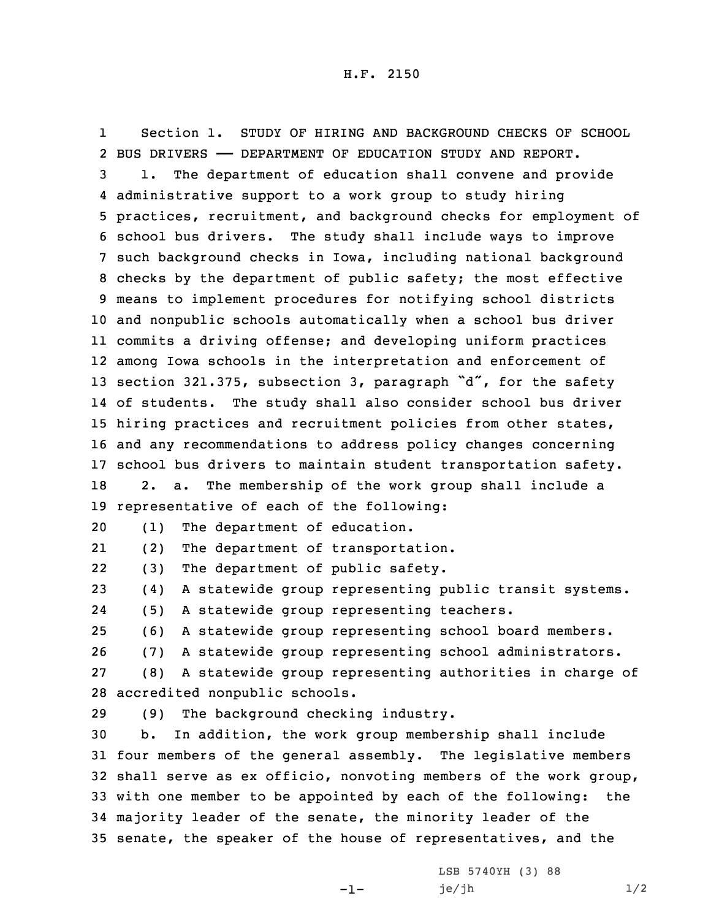1 Section 1. STUDY OF HIRING AND BACKGROUND CHECKS OF SCHOOL BUS DRIVERS —— DEPARTMENT OF EDUCATION STUDY AND REPORT. 1. The department of education shall convene and provide administrative support to <sup>a</sup> work group to study hiring practices, recruitment, and background checks for employment of school bus drivers. The study shall include ways to improve such background checks in Iowa, including national background checks by the department of public safety; the most effective means to implement procedures for notifying school districts and nonpublic schools automatically when <sup>a</sup> school bus driver commits <sup>a</sup> driving offense; and developing uniform practices among Iowa schools in the interpretation and enforcement of 13 section 321.375, subsection 3, paragraph "d", for the safety of students. The study shall also consider school bus driver hiring practices and recruitment policies from other states, and any recommendations to address policy changes concerning school bus drivers to maintain student transportation safety. 2. a. The membership of the work group shall include <sup>a</sup> representative of each of the following: (1) The department of education. 21 (2) The department of transportation. 22 (3) The department of public safety. (4) <sup>A</sup> statewide group representing public transit systems. 24 (5) <sup>A</sup> statewide group representing teachers. (6) <sup>A</sup> statewide group representing school board members. (7) <sup>A</sup> statewide group representing school administrators. (8) <sup>A</sup> statewide group representing authorities in charge of accredited nonpublic schools. (9) The background checking industry. b. In addition, the work group membership shall include four members of the general assembly. The legislative members shall serve as ex officio, nonvoting members of the work group, with one member to be appointed by each of the following: the majority leader of the senate, the minority leader of the senate, the speaker of the house of representatives, and the

-1-

LSB 5740YH (3) 88  $j e/jh$   $1/2$